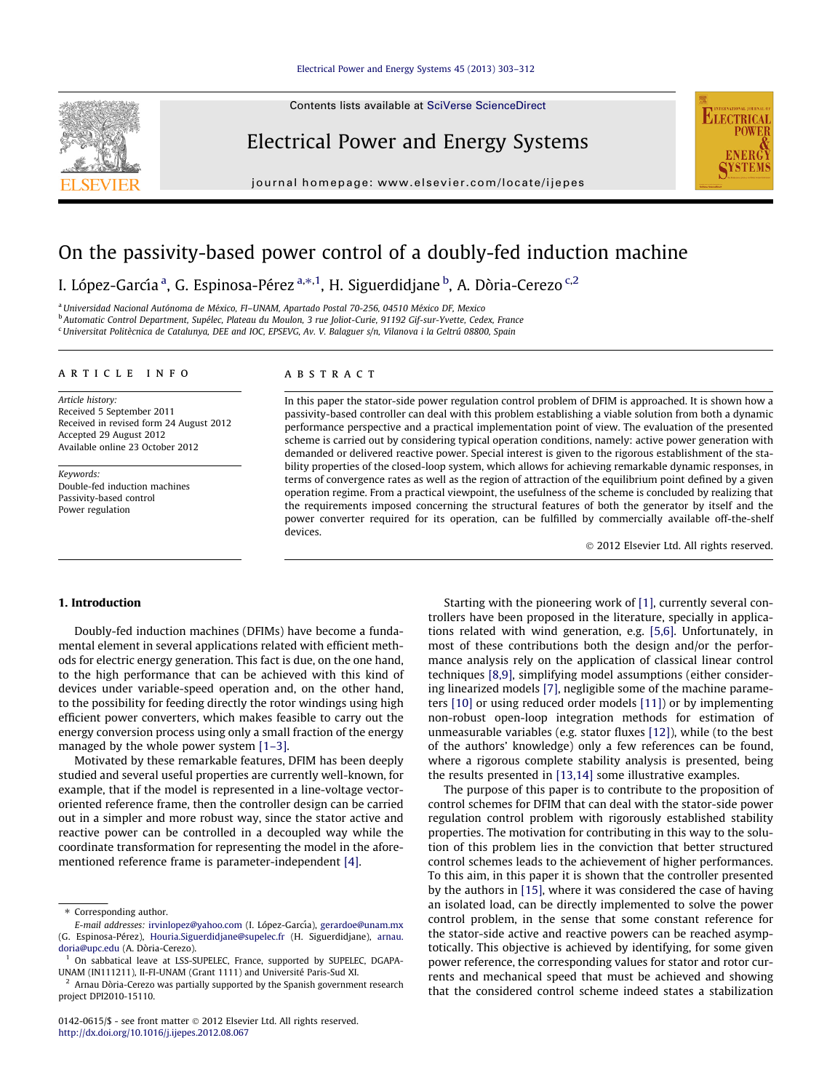#### [Electrical Power and Energy Systems 45 \(2013\) 303–312](http://dx.doi.org/10.1016/j.ijepes.2012.08.067)

Contents lists available at [SciVerse ScienceDirect](http://www.sciencedirect.com/science/journal/01420615)

Electrical Power and Energy Systems

journal homepage: [www.elsevier.com/locate/ijepes](http://www.elsevier.com/locate/ijepes)



## On the passivity-based power control of a doubly-fed induction machine

I. López-Garcíaª, G. Espinosa-Pérezª,\*,<sup>1</sup>, H. Siguerdidjane <sup>b</sup>, A. Dòria-Cerezo <sup>c,2</sup>

<sup>a</sup> Universidad Nacional Autónoma de México, FI-UNAM, Apartado Postal 70-256, 04510 México DF, Mexico <sup>b</sup> Automatic Control Department, Supélec, Plateau du Moulon, 3 rue Joliot-Curie, 91192 Gif-sur-Yvette, Cedex, France <sup>c</sup> Universitat Politècnica de Catalunya, DEE and IOC, EPSEVG, Av. V. Balaguer s/n, Vilanova i la Geltrú 08800, Spain

#### article info

Article history: Received 5 September 2011 Received in revised form 24 August 2012 Accepted 29 August 2012 Available online 23 October 2012

Keywords: Double-fed induction machines Passivity-based control Power regulation

#### ABSTRACT

In this paper the stator-side power regulation control problem of DFIM is approached. It is shown how a passivity-based controller can deal with this problem establishing a viable solution from both a dynamic performance perspective and a practical implementation point of view. The evaluation of the presented scheme is carried out by considering typical operation conditions, namely: active power generation with demanded or delivered reactive power. Special interest is given to the rigorous establishment of the stability properties of the closed-loop system, which allows for achieving remarkable dynamic responses, in terms of convergence rates as well as the region of attraction of the equilibrium point defined by a given operation regime. From a practical viewpoint, the usefulness of the scheme is concluded by realizing that the requirements imposed concerning the structural features of both the generator by itself and the power converter required for its operation, can be fulfilled by commercially available off-the-shelf devices.

- 2012 Elsevier Ltd. All rights reserved.

#### 1. Introduction

Doubly-fed induction machines (DFIMs) have become a fundamental element in several applications related with efficient methods for electric energy generation. This fact is due, on the one hand, to the high performance that can be achieved with this kind of devices under variable-speed operation and, on the other hand, to the possibility for feeding directly the rotor windings using high efficient power converters, which makes feasible to carry out the energy conversion process using only a small fraction of the energy managed by the whole power system [\[1–3\].](#page--1-0)

Motivated by these remarkable features, DFIM has been deeply studied and several useful properties are currently well-known, for example, that if the model is represented in a line-voltage vectororiented reference frame, then the controller design can be carried out in a simpler and more robust way, since the stator active and reactive power can be controlled in a decoupled way while the coordinate transformation for representing the model in the aforementioned reference frame is parameter-independent [\[4\]](#page--1-0).

Starting with the pioneering work of [\[1\]](#page--1-0), currently several controllers have been proposed in the literature, specially in applications related with wind generation, e.g. [\[5,6\]](#page--1-0). Unfortunately, in most of these contributions both the design and/or the performance analysis rely on the application of classical linear control techniques [\[8,9\],](#page--1-0) simplifying model assumptions (either considering linearized models [\[7\],](#page--1-0) negligible some of the machine parameters [\[10\]](#page--1-0) or using reduced order models [\[11\]](#page--1-0)) or by implementing non-robust open-loop integration methods for estimation of unmeasurable variables (e.g. stator fluxes [\[12\]\)](#page--1-0), while (to the best of the authors' knowledge) only a few references can be found, where a rigorous complete stability analysis is presented, being the results presented in [\[13,14\]](#page--1-0) some illustrative examples.

The purpose of this paper is to contribute to the proposition of control schemes for DFIM that can deal with the stator-side power regulation control problem with rigorously established stability properties. The motivation for contributing in this way to the solution of this problem lies in the conviction that better structured control schemes leads to the achievement of higher performances. To this aim, in this paper it is shown that the controller presented by the authors in [\[15\],](#page--1-0) where it was considered the case of having an isolated load, can be directly implemented to solve the power control problem, in the sense that some constant reference for the stator-side active and reactive powers can be reached asymptotically. This objective is achieved by identifying, for some given power reference, the corresponding values for stator and rotor currents and mechanical speed that must be achieved and showing that the considered control scheme indeed states a stabilization

<sup>⇑</sup> Corresponding author.

E-mail addresses: [irvinlopez@yahoo.com](mailto:irvinlopez@yahoo.com) (I. López-García), [gerardoe@unam.mx](mailto:gerardoe@unam.mx) (G. Espinosa-Pérez), [Houria.Siguerdidjane@supelec.fr](mailto:Houria.Siguerdidjane@supelec.fr) (H. Siguerdidjane), [arnau.](mailto:arnau. doria@upc.edu) [doria@upc.edu](mailto:arnau. doria@upc.edu) (A. Dòria-Cerezo).

<sup>1</sup> On sabbatical leave at LSS-SUPELEC, France, supported by SUPELEC, DGAPA-UNAM (IN111211), II-FI-UNAM (Grant 1111) and Université Paris-Sud XI.

 $2$  Arnau Dòria-Cerezo was partially supported by the Spanish government research project DPI2010-15110.

<sup>0142-0615/\$ -</sup> see front matter © 2012 Elsevier Ltd. All rights reserved. <http://dx.doi.org/10.1016/j.ijepes.2012.08.067>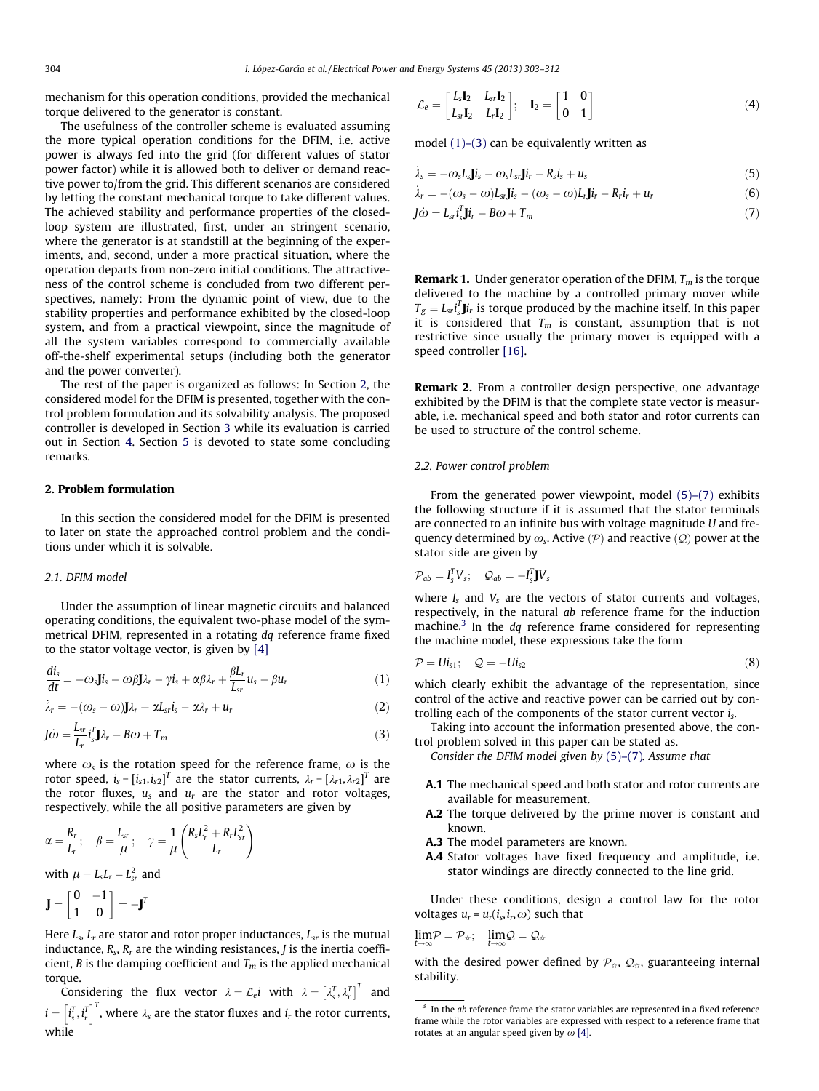mechanism for this operation conditions, provided the mechanical torque delivered to the generator is constant.

The usefulness of the controller scheme is evaluated assuming the more typical operation conditions for the DFIM, i.e. active power is always fed into the grid (for different values of stator power factor) while it is allowed both to deliver or demand reactive power to/from the grid. This different scenarios are considered by letting the constant mechanical torque to take different values. The achieved stability and performance properties of the closedloop system are illustrated, first, under an stringent scenario, where the generator is at standstill at the beginning of the experiments, and, second, under a more practical situation, where the operation departs from non-zero initial conditions. The attractiveness of the control scheme is concluded from two different perspectives, namely: From the dynamic point of view, due to the stability properties and performance exhibited by the closed-loop system, and from a practical viewpoint, since the magnitude of all the system variables correspond to commercially available off-the-shelf experimental setups (including both the generator and the power converter).

The rest of the paper is organized as follows: In Section 2, the considered model for the DFIM is presented, together with the control problem formulation and its solvability analysis. The proposed controller is developed in Section [3](#page--1-0) while its evaluation is carried out in Section [4](#page--1-0). Section [5](#page--1-0) is devoted to state some concluding remarks.

#### 2. Problem formulation

In this section the considered model for the DFIM is presented to later on state the approached control problem and the conditions under which it is solvable.

### 2.1. DFIM model

Under the assumption of linear magnetic circuits and balanced operating conditions, the equivalent two-phase model of the symmetrical DFIM, represented in a rotating dq reference frame fixed to the stator voltage vector, is given by [\[4\]](#page--1-0)

$$
\frac{di_s}{dt} = -\omega_s \mathbf{J} i_s - \omega \beta \mathbf{J} \lambda_r - \gamma i_s + \alpha \beta \lambda_r + \frac{\beta L_r}{L_{sr}} u_s - \beta u_r \tag{1}
$$

$$
\dot{\lambda}_r = -(\omega_s - \omega)\mathbf{J}\lambda_r + \alpha L_{sr}\mathbf{i}_s - \alpha \lambda_r + u_r \tag{2}
$$

$$
J\dot{\omega} = \frac{L_{sr}}{L_r} i_s^T J \lambda_r - B\omega + T_m \tag{3}
$$

where  $\omega_s$  is the rotation speed for the reference frame,  $\omega$  is the rotor speed,  $i_s=[i_{s1},i_{s2}]^T$  are the stator currents,  $\lambda_r=[\lambda_{r1},\lambda_{r2}]^T$  are the rotor fluxes,  $u_s$  and  $u_r$  are the stator and rotor voltages, respectively, while the all positive parameters are given by

$$
\alpha = \frac{R_r}{L_r}; \quad \beta = \frac{L_{sr}}{\mu}; \quad \gamma = \frac{1}{\mu} \left( \frac{R_s L_r^2 + R_r L_{sr}^2}{L_r} \right)
$$

with  $\mu = L_{\rm s}L_{\rm r} - L_{\rm sr}^2$  and

$$
\bm{J} = \begin{bmatrix} 0 & -1 \\ 1 & 0 \end{bmatrix} = -\bm{J}^T
$$

Here  $L_s$ ,  $L_r$  are stator and rotor proper inductances,  $L_{sr}$  is the mutual inductance,  $R_s$ ,  $R_r$  are the winding resistances, *I* is the inertia coefficient, B is the damping coefficient and  $T_m$  is the applied mechanical torque.

Considering the flux vector  $\lambda = \mathcal{L}_e i$  with  $\lambda = \begin{bmatrix} \lambda_s^T, \lambda_r^T \end{bmatrix}^T$  and  $i=\left| i_{\text{s}}^{\text{T}}, i_{\text{r}}^{\text{T}} \right|$  $\left[i_s^T, i_r^T\right]^T$ , where  $\lambda_s$  are the stator fluxes and  $i_r$  the rotor currents, while

$$
\mathcal{L}_e = \begin{bmatrix} L_s \mathbf{I}_2 & L_{sr} \mathbf{I}_2 \\ L_{sr} \mathbf{I}_2 & L_r \mathbf{I}_2 \end{bmatrix}; \quad \mathbf{I}_2 = \begin{bmatrix} 1 & 0 \\ 0 & 1 \end{bmatrix}
$$
 (4)

model (1)–(3) can be equivalently written as

$$
\dot{\lambda}_s = -\omega_s L_s \mathbf{J} \dot{\mathbf{i}}_s - \omega_s L_{sr} \mathbf{J} \dot{\mathbf{i}}_r - R_s \dot{\mathbf{i}}_s + u_s \tag{5}
$$

$$
\dot{\lambda}_r = -(\omega_s - \omega)L_{sr} \mathbf{j} \mathbf{i}_s - (\omega_s - \omega)L_r \mathbf{j} \mathbf{i}_r - R_r \mathbf{i}_r + u_r \tag{6}
$$

$$
\dot{J}\dot{\omega} = L_{sr} i_s^T \mathbf{J} i_r - B\omega + T_m \tag{7}
$$

**Remark 1.** Under generator operation of the DFIM,  $T_m$  is the torque delivered to the machine by a controlled primary mover while  $T_g = L_{sr} i_s^T J_i$  is torque produced by the machine itself. In this paper it is considered that  $T_m$  is constant, assumption that is not restrictive since usually the primary mover is equipped with a speed controller [\[16\]](#page--1-0).

Remark 2. From a controller design perspective, one advantage exhibited by the DFIM is that the complete state vector is measurable, i.e. mechanical speed and both stator and rotor currents can be used to structure of the control scheme.

#### 2.2. Power control problem

From the generated power viewpoint, model (5)–(7) exhibits the following structure if it is assumed that the stator terminals are connected to an infinite bus with voltage magnitude U and frequency determined by  $\omega_{s}$ . Active  $(\mathcal{P})$  and reactive  $(\mathcal{Q})$  power at the stator side are given by

$$
\mathcal{P}_{ab} = I_s^T V_s; \quad \mathcal{Q}_{ab} = -I_s^T \mathbf{J} V_s
$$

where  $I_s$  and  $V_s$  are the vectors of stator currents and voltages, respectively, in the natural ab reference frame for the induction machine.<sup>3</sup> In the  $dq$  reference frame considered for representing the machine model, these expressions take the form

$$
\mathcal{P} = Ui_{s1}; \quad \mathcal{Q} = -Ui_{s2} \tag{8}
$$

which clearly exhibit the advantage of the representation, since control of the active and reactive power can be carried out by controlling each of the components of the stator current vector  $i_{\rm s}$ .

Taking into account the information presented above, the control problem solved in this paper can be stated as.

Consider the DFIM model given by (5)–(7). Assume that

- A.1 The mechanical speed and both stator and rotor currents are available for measurement.
- A.2 The torque delivered by the prime mover is constant and known.
- A.3 The model parameters are known.
- A.4 Stator voltages have fixed frequency and amplitude, i.e. stator windings are directly connected to the line grid.

Under these conditions, design a control law for the rotor voltages  $u_r = u_r(i_s,i_r,\omega)$  such that

$$
\underset{t\to\infty}{\lim}\mathcal{P}=\mathcal{P}_{\dot{\alpha}};\quad \underset{t\to\infty}{\lim}\mathcal{Q}=\mathcal{Q}_{\dot{\alpha}}
$$

with the desired power defined by  $\mathcal{P}_{\hat{\alpha}}$ ,  $\mathcal{Q}_{\hat{\alpha}}$ , guaranteeing internal stability.

 $3\,$  In the ab reference frame the stator variables are represented in a fixed reference frame while the rotor variables are expressed with respect to a reference frame that rotates at an angular speed given by  $\omega$  [\[4\].](#page--1-0)